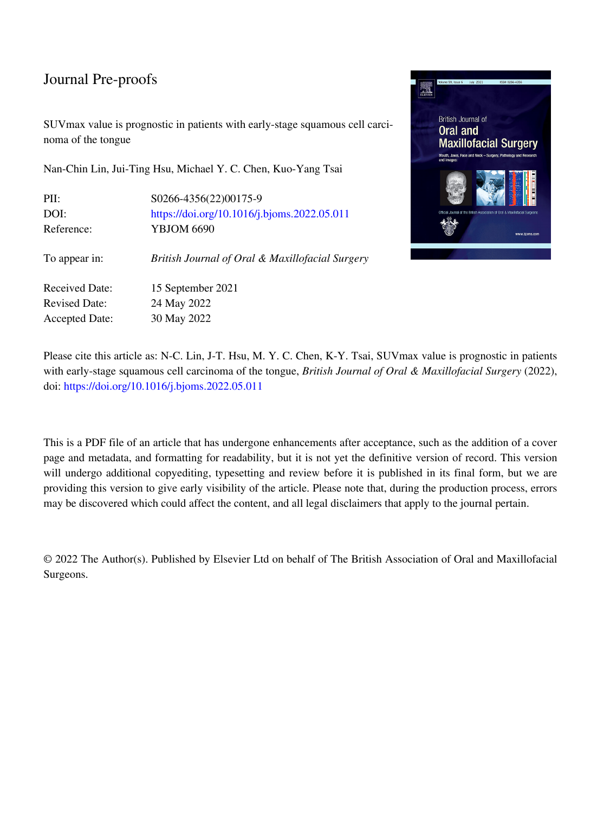SUVmax value is prognostic in patients with early-stage squamous cell carcinoma of the tongue

Nan-Chin Lin, Jui-Ting Hsu, Michael Y. C. Chen, Kuo-Yang Tsai

| PII:                  | S0266-4356(22)00175-9                           |
|-----------------------|-------------------------------------------------|
| DOI:                  | https://doi.org/10.1016/j.bjoms.2022.05.011     |
| Reference:            | <b>YBJOM 6690</b>                               |
| To appear in:         | British Journal of Oral & Maxillofacial Surgery |
| <b>Received Date:</b> | 15 September 2021                               |
| <b>Revised Date:</b>  | 24 May 2022                                     |
| <b>Accepted Date:</b> | 30 May 2022                                     |
|                       |                                                 |



Please cite this article as: N-C. Lin, J-T. Hsu, M. Y. C. Chen, K-Y. Tsai, SUVmax value is prognostic in patients with early-stage squamous cell carcinoma of the tongue, *British Journal of Oral & Maxillofacial Surgery* (2022), doi:<https://doi.org/10.1016/j.bjoms.2022.05.011>

This is a PDF file of an article that has undergone enhancements after acceptance, such as the addition of a cover page and metadata, and formatting for readability, but it is not yet the definitive version of record. This version will undergo additional copyediting, typesetting and review before it is published in its final form, but we are providing this version to give early visibility of the article. Please note that, during the production process, errors may be discovered which could affect the content, and all legal disclaimers that apply to the journal pertain.

© 2022 The Author(s). Published by Elsevier Ltd on behalf of The British Association of Oral and Maxillofacial Surgeons.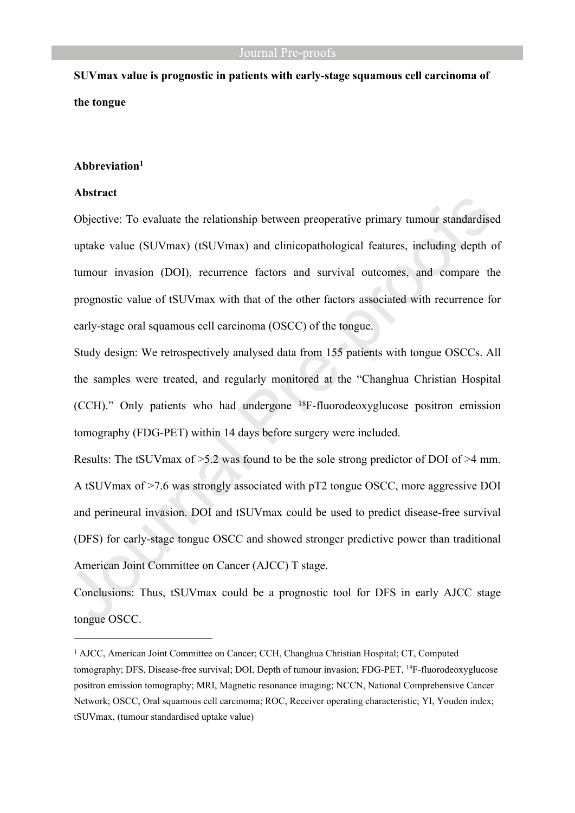# **SUVmax value is prognostic in patients with early-stage squamous cell carcinoma of the tongue**

# **Abbreviation<sup>1</sup>**

#### **Abstract**

Objective: To evaluate the relationship between preoperative primary tumour standardised uptake value (SUVmax) (tSUVmax) and clinicopathological features, including depth of tumour invasion (DOI), recurrence factors and survival outcomes, and compare the prognostic value of tSUVmax with that of the other factors associated with recurrence for early-stage oral squamous cell carcinoma (OSCC) of the tongue.

Study design: We retrospectively analysed data from 155 patients with tongue OSCCs. All the samples were treated, and regularly monitored at the "Changhua Christian Hospital (CCH)." Only patients who had undergone <sup>18</sup>F-fluorodeoxyglucose positron emission tomography (FDG-PET) within 14 days before surgery were included.

Results: The tSUVmax of >5.2 was found to be the sole strong predictor of DOI of >4 mm. A tSUVmax of >7.6 was strongly associated with pT2 tongue OSCC, more aggressive DOI and perineural invasion. DOI and tSUVmax could be used to predict disease-free survival (DFS) for early-stage tongue OSCC and showed stronger predictive power than traditional American Joint Committee on Cancer (AJCC) T stage.

Conclusions: Thus, tSUVmax could be a prognostic tool for DFS in early AJCC stage tongue OSCC.

<sup>&</sup>lt;sup>1</sup> AJCC, American Joint Committee on Cancer; CCH, Changhua Christian Hospital; CT, Computed tomography; DFS, Disease-free survival; DOI, Depth of tumour invasion; FDG-PET, <sup>18</sup>F-fluorodeoxyglucose positron emission tomography; MRI, Magnetic resonance imaging; NCCN, National Comprehensive Cancer Network; OSCC, Oral squamous cell carcinoma; ROC, Receiver operating characteristic; YI, Youden index; tSUVmax, (tumour standardised uptake value)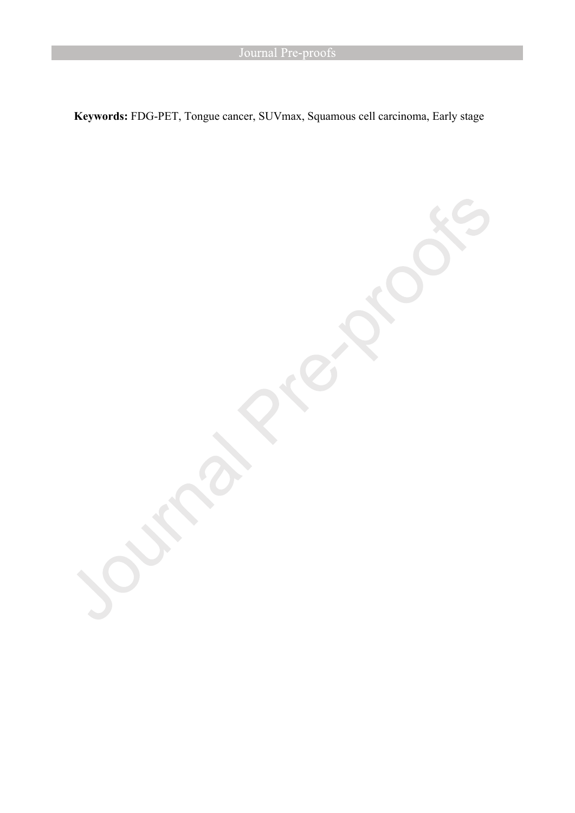**Keywords:** FDG-PET, Tongue cancer, SUVmax, Squamous cell carcinoma, Early stage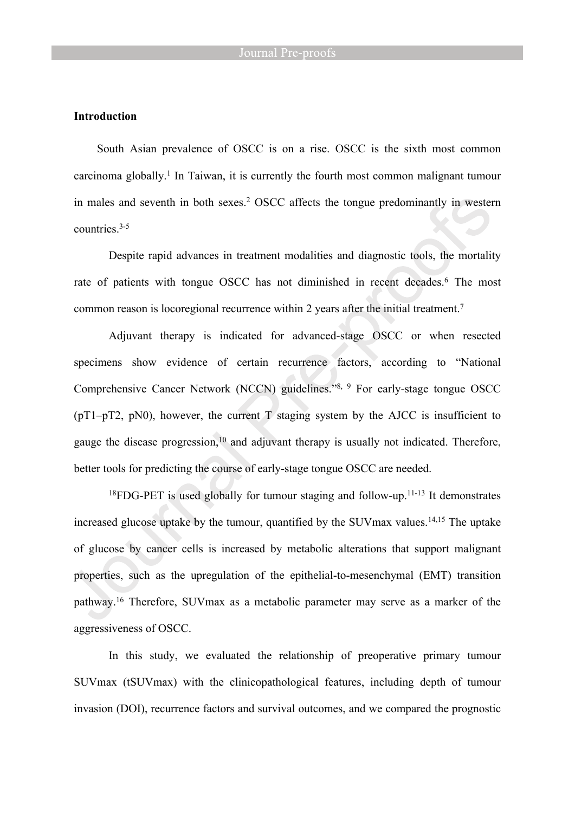# **Introduction**

South Asian prevalence of OSCC is on a rise. OSCC is the sixth most common carcinoma globally.<sup>1</sup> In Taiwan, it is currently the fourth most common malignant tumour in males and seventh in both sexes.<sup>2</sup> OSCC affects the tongue predominantly in western countries<sup>3-5</sup>

Despite rapid advances in treatment modalities and diagnostic tools, the mortality rate of patients with tongue OSCC has not diminished in recent decades.<sup>6</sup> The most common reason is locoregional recurrence within 2 years after the initial treatment.<sup>7</sup>

Adjuvant therapy is indicated for advanced-stage OSCC or when resected specimens show evidence of certain recurrence factors, according to "National Comprehensive Cancer Network (NCCN) guidelines."8, 9 For early-stage tongue OSCC (pT1–pT2, pN0), however, the current T staging system by the AJCC is insufficient to gauge the disease progression,<sup>10</sup> and adjuvant therapy is usually not indicated. Therefore, better tools for predicting the course of early-stage tongue OSCC are needed.

<sup>18</sup>FDG-PET is used globally for tumour staging and follow-up.<sup>11-13</sup> It demonstrates increased glucose uptake by the tumour, quantified by the SUV max values.<sup>14,15</sup> The uptake of glucose by cancer cells is increased by metabolic alterations that support malignant properties, such as the upregulation of the epithelial-to-mesenchymal (EMT) transition pathway.<sup>16</sup> Therefore, SUVmax as a metabolic parameter may serve as a marker of the aggressiveness of OSCC.

In this study, we evaluated the relationship of preoperative primary tumour SUVmax (tSUVmax) with the clinicopathological features, including depth of tumour invasion (DOI), recurrence factors and survival outcomes, and we compared the prognostic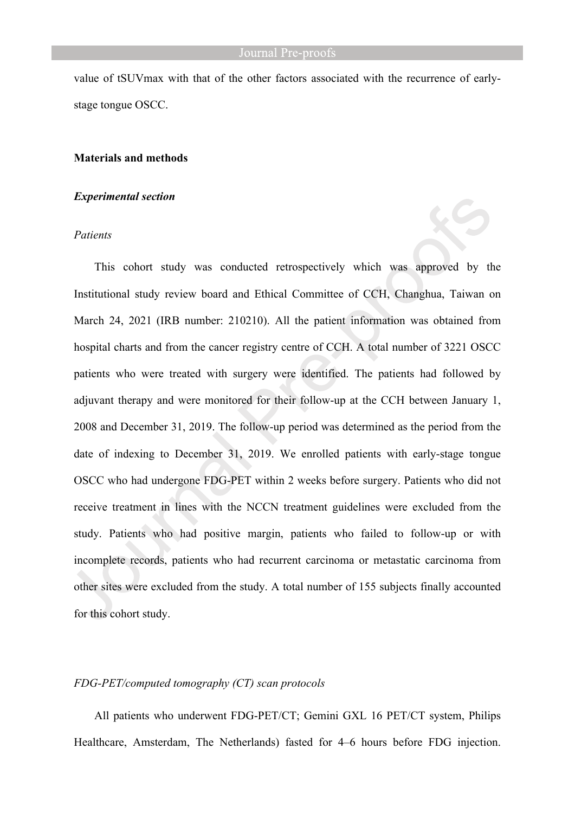value of tSUVmax with that of the other factors associated with the recurrence of earlystage tongue OSCC.

# **Materials and methods**

# *Experimental section*

#### *Patients*

This cohort study was conducted retrospectively which was approved by the Institutional study review board and Ethical Committee of CCH, Changhua, Taiwan on March 24, 2021 (IRB number: 210210). All the patient information was obtained from hospital charts and from the cancer registry centre of CCH. A total number of 3221 OSCC patients who were treated with surgery were identified. The patients had followed by adjuvant therapy and were monitored for their follow-up at the CCH between January 1, 2008 and December 31, 2019. The follow-up period was determined as the period from the date of indexing to December 31, 2019. We enrolled patients with early-stage tongue OSCC who had undergone FDG-PET within 2 weeks before surgery. Patients who did not receive treatment in lines with the NCCN treatment guidelines were excluded from the study. Patients who had positive margin, patients who failed to follow-up or with incomplete records, patients who had recurrent carcinoma or metastatic carcinoma from other sites were excluded from the study. A total number of 155 subjects finally accounted for this cohort study.

# *FDG-PET/computed tomography (CT) scan protocols*

All patients who underwent FDG-PET/CT; Gemini GXL 16 PET/CT system, Philips Healthcare, Amsterdam, The Netherlands) fasted for 4–6 hours before FDG injection.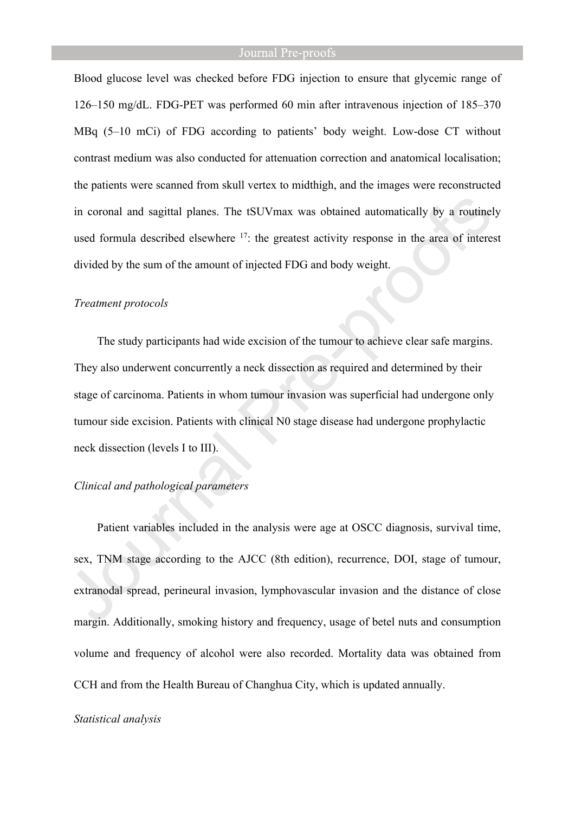Blood glucose level was checked before FDG injection to ensure that glycemic range of 126–150 mg/dL. FDG-PET was performed 60 min after intravenous injection of 185–370 MBq (5–10 mCi) of FDG according to patients' body weight. Low-dose CT without contrast medium was also conducted for attenuation correction and anatomical localisation; the patients were scanned from skull vertex to midthigh, and the images were reconstructed in coronal and sagittal planes. The tSUVmax was obtained automatically by a routinely used formula described elsewhere <sup>17</sup>: the greatest activity response in the area of interest divided by the sum of the amount of injected FDG and body weight.

#### *Treatment protocols*

The study participants had wide excision of the tumour to achieve clear safe margins. They also underwent concurrently a neck dissection as required and determined by their stage of carcinoma. Patients in whom tumour invasion was superficial had undergone only tumour side excision. Patients with clinical N0 stage disease had undergone prophylactic neck dissection (levels I to III).

# *Clinical and pathological parameters*

Patient variables included in the analysis were age at OSCC diagnosis, survival time, sex, TNM stage according to the AJCC (8th edition), recurrence, DOI, stage of tumour, extranodal spread, perineural invasion, lymphovascular invasion and the distance of close margin. Additionally, smoking history and frequency, usage of betel nuts and consumption volume and frequency of alcohol were also recorded. Mortality data was obtained from CCH and from the Health Bureau of Changhua City, which is updated annually.

#### *Statistical analysis*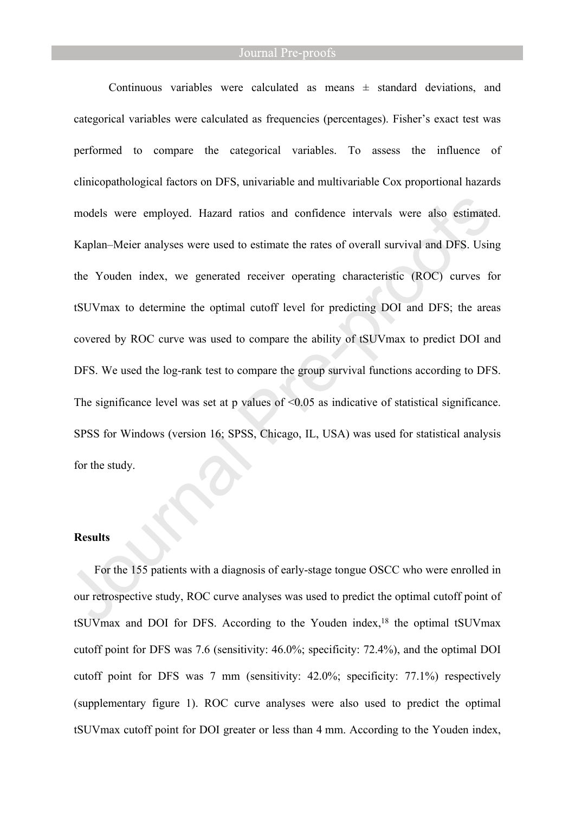Continuous variables were calculated as means  $\pm$  standard deviations, and categorical variables were calculated as frequencies (percentages). Fisher's exact test was performed to compare the categorical variables. To assess the influence of clinicopathological factors on DFS, univariable and multivariable Cox proportional hazards models were employed. Hazard ratios and confidence intervals were also estimated. Kaplan–Meier analyses were used to estimate the rates of overall survival and DFS. Using the Youden index, we generated receiver operating characteristic (ROC) curves for tSUVmax to determine the optimal cutoff level for predicting DOI and DFS; the areas covered by ROC curve was used to compare the ability of tSUVmax to predict DOI and DFS. We used the log-rank test to compare the group survival functions according to DFS. The significance level was set at p values of  $\leq 0.05$  as indicative of statistical significance. SPSS for Windows (version 16; SPSS, Chicago, IL, USA) was used for statistical analysis for the study.

# **Results**

For the 155 patients with a diagnosis of early-stage tongue OSCC who were enrolled in our retrospective study, ROC curve analyses was used to predict the optimal cutoff point of tSUVmax and DOI for DFS. According to the Youden index,<sup>18</sup> the optimal tSUVmax cutoff point for DFS was 7.6 (sensitivity: 46.0%; specificity: 72.4%), and the optimal DOI cutoff point for DFS was 7 mm (sensitivity: 42.0%; specificity: 77.1%) respectively (supplementary figure 1). ROC curve analyses were also used to predict the optimal tSUVmax cutoff point for DOI greater or less than 4 mm. According to the Youden index,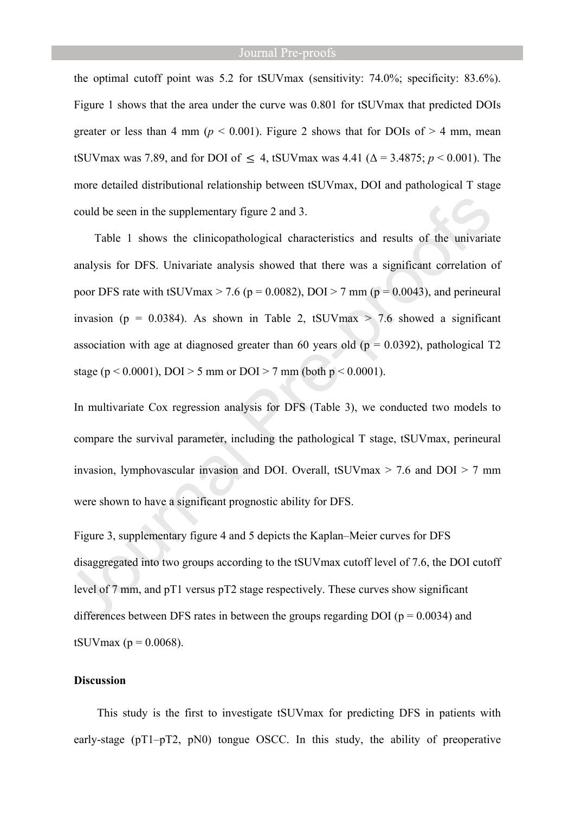the optimal cutoff point was 5.2 for tSUVmax (sensitivity: 74.0%; specificity: 83.6%). Figure 1 shows that the area under the curve was 0.801 for tSUVmax that predicted DOIs greater or less than 4 mm ( $p < 0.001$ ). Figure 2 shows that for DOIs of  $> 4$  mm, mean tSUVmax was 7.89, and for DOI of  $\leq 4$ , tSUVmax was 4.41 ( $\Delta = 3.4875$ ;  $p < 0.001$ ). The more detailed distributional relationship between tSUVmax, DOI and pathological T stage could be seen in the supplementary figure 2 and 3.

Table 1 shows the clinicopathological characteristics and results of the univariate analysis for DFS. Univariate analysis showed that there was a significant correlation of poor DFS rate with tSUVmax  $> 7.6$  (p = 0.0082), DOI  $> 7$  mm (p = 0.0043), and perineural invasion (p = 0.0384). As shown in Table 2, tSUVmax  $>$  7.6 showed a significant association with age at diagnosed greater than 60 years old ( $p = 0.0392$ ), pathological T2 stage ( $p < 0.0001$ ), DOI > 5 mm or DOI > 7 mm (both  $p < 0.0001$ ).

In multivariate Cox regression analysis for DFS (Table 3), we conducted two models to compare the survival parameter, including the pathological T stage, tSUVmax, perineural invasion, lymphovascular invasion and DOI. Overall, tSUVmax  $>$  7.6 and DOI  $>$  7 mm were shown to have a significant prognostic ability for DFS.

Figure 3, supplementary figure 4 and 5 depicts the Kaplan–Meier curves for DFS disaggregated into two groups according to the tSUVmax cutoff level of 7.6, the DOI cutoff level of 7 mm, and pT1 versus pT2 stage respectively. These curves show significant differences between DFS rates in between the groups regarding DOI ( $p = 0.0034$ ) and tSUV $max (p = 0.0068)$ .

#### **Discussion**

This study is the first to investigate tSUVmax for predicting DFS in patients with early-stage (pT1–pT2, pN0) tongue OSCC. In this study, the ability of preoperative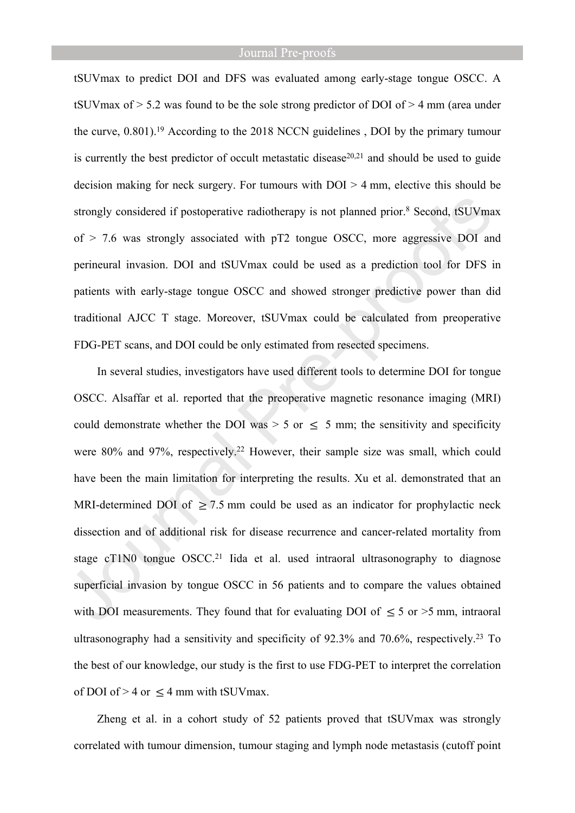tSUVmax to predict DOI and DFS was evaluated among early-stage tongue OSCC. A tSUVmax of  $> 5.2$  was found to be the sole strong predictor of DOI of  $> 4$  mm (area under the curve, 0.801).<sup>19</sup> According to the 2018 NCCN guidelines , DOI by the primary tumour is currently the best predictor of occult metastatic disease<sup>20,21</sup> and should be used to guide decision making for neck surgery. For tumours with DOI > 4 mm, elective this should be strongly considered if postoperative radiotherapy is not planned prior.<sup>8</sup> Second, tSUVmax of > 7.6 was strongly associated with pT2 tongue OSCC, more aggressive DOI and perineural invasion. DOI and tSUVmax could be used as a prediction tool for DFS in patients with early-stage tongue OSCC and showed stronger predictive power than did traditional AJCC T stage. Moreover, tSUVmax could be calculated from preoperative FDG-PET scans, and DOI could be only estimated from resected specimens.

In several studies, investigators have used different tools to determine DOI for tongue OSCC. Alsaffar et al. reported that the preoperative magnetic resonance imaging (MRI) could demonstrate whether the DOI was  $> 5$  or  $\leq 5$  mm; the sensitivity and specificity were 80% and 97%, respectively.<sup>22</sup> However, their sample size was small, which could have been the main limitation for interpreting the results. Xu et al. demonstrated that an MRI-determined DOI of  $\geq$  7.5 mm could be used as an indicator for prophylactic neck dissection and of additional risk for disease recurrence and cancer-related mortality from stage cT1N0 tongue OSCC.<sup>21</sup> Iida et al. used intraoral ultrasonography to diagnose superficial invasion by tongue OSCC in 56 patients and to compare the values obtained with DOI measurements. They found that for evaluating DOI of  $\leq 5$  or  $>5$  mm, intraoral ultrasonography had a sensitivity and specificity of 92.3% and 70.6%, respectively.<sup>23</sup> To the best of our knowledge, our study is the first to use FDG-PET to interpret the correlation of DOI of  $> 4$  or  $\leq 4$  mm with tSUVmax.

Zheng et al. in a cohort study of 52 patients proved that tSUVmax was strongly correlated with tumour dimension, tumour staging and lymph node metastasis (cutoff point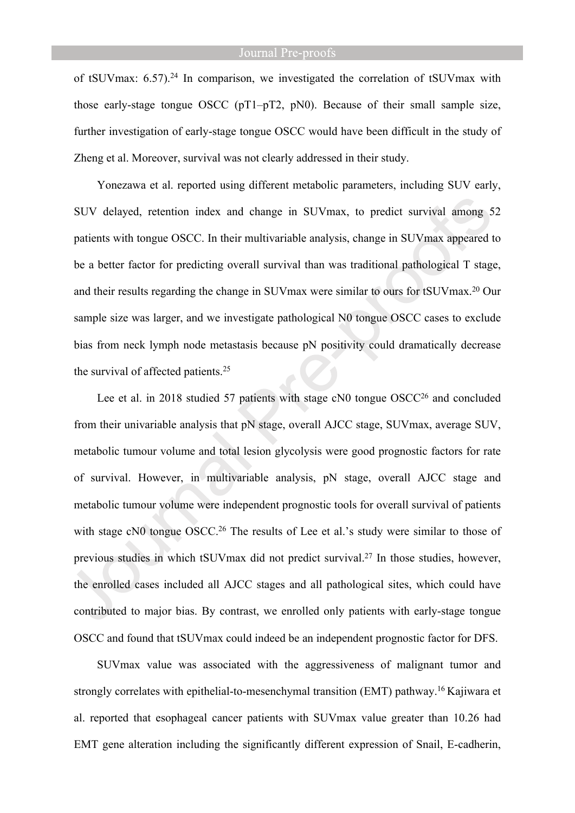of tSUVmax: 6.57).<sup>24</sup> In comparison, we investigated the correlation of tSUVmax with those early-stage tongue OSCC (pT1–pT2, pN0). Because of their small sample size, further investigation of early-stage tongue OSCC would have been difficult in the study of Zheng et al. Moreover, survival was not clearly addressed in their study.

Yonezawa et al. reported using different metabolic parameters, including SUV early, SUV delayed, retention index and change in SUVmax, to predict survival among 52 patients with tongue OSCC. In their multivariable analysis, change in SUVmax appeared to be a better factor for predicting overall survival than was traditional pathological T stage, and their results regarding the change in SUVmax were similar to ours for tSUVmax.<sup>20</sup> Our sample size was larger, and we investigate pathological N0 tongue OSCC cases to exclude bias from neck lymph node metastasis because pN positivity could dramatically decrease the survival of affected patients.<sup>25</sup>

Lee et al. in 2018 studied 57 patients with stage cN0 tongue OSCC<sup>26</sup> and concluded from their univariable analysis that pN stage, overall AJCC stage, SUVmax, average SUV, metabolic tumour volume and total lesion glycolysis were good prognostic factors for rate of survival. However, in multivariable analysis, pN stage, overall AJCC stage and metabolic tumour volume were independent prognostic tools for overall survival of patients with stage cN0 tongue OSCC.<sup>26</sup> The results of Lee et al.'s study were similar to those of previous studies in which tSUVmax did not predict survival.<sup>27</sup> In those studies, however, the enrolled cases included all AJCC stages and all pathological sites, which could have contributed to major bias. By contrast, we enrolled only patients with early-stage tongue OSCC and found that tSUVmax could indeed be an independent prognostic factor for DFS.

SUVmax value was associated with the aggressiveness of malignant tumor and strongly correlates with epithelial-to-mesenchymal transition (EMT) pathway.<sup>16</sup> Kajiwara et al. reported that esophageal cancer patients with SUVmax value greater than 10.26 had EMT gene alteration including the significantly different expression of Snail, E-cadherin,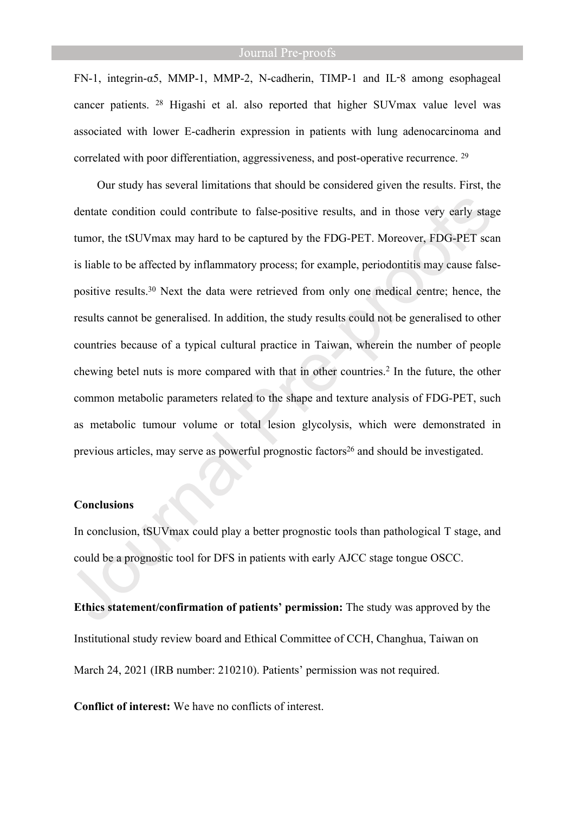FN-1, integrin-α5, MMP-1, MMP-2, N-cadherin, TIMP-1 and IL‑8 among esophageal cancer patients. <sup>28</sup> Higashi et al. also reported that higher SUVmax value level was associated with lower E-cadherin expression in patients with lung adenocarcinoma and correlated with poor differentiation, aggressiveness, and post-operative recurrence. <sup>29</sup>

Our study has several limitations that should be considered given the results. First, the dentate condition could contribute to false-positive results, and in those very early stage tumor, the tSUVmax may hard to be captured by the FDG-PET. Moreover, FDG-PET scan is liable to be affected by inflammatory process; for example, periodontitis may cause falsepositive results.<sup>30</sup> Next the data were retrieved from only one medical centre; hence, the results cannot be generalised. In addition, the study results could not be generalised to other countries because of a typical cultural practice in Taiwan, wherein the number of people chewing betel nuts is more compared with that in other countries.<sup>2</sup> In the future, the other common metabolic parameters related to the shape and texture analysis of FDG-PET, such as metabolic tumour volume or total lesion glycolysis, which were demonstrated in previous articles, may serve as powerful prognostic factors<sup>26</sup> and should be investigated.

#### **Conclusions**

In conclusion, tSUVmax could play a better prognostic tools than pathological T stage, and could be a prognostic tool for DFS in patients with early AJCC stage tongue OSCC.

**Ethics statement/confirmation of patients' permission:** The study was approved by the Institutional study review board and Ethical Committee of CCH, Changhua, Taiwan on March 24, 2021 (IRB number: 210210). Patients' permission was not required.

**Conflict of interest:** We have no conflicts of interest.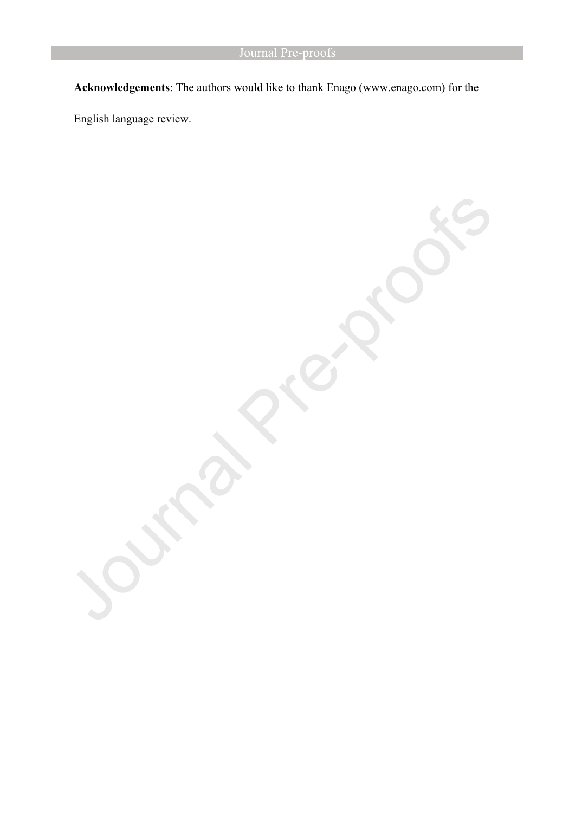**Acknowledgements**: The authors would like to thank Enago (www.enago.com) for the

English language review.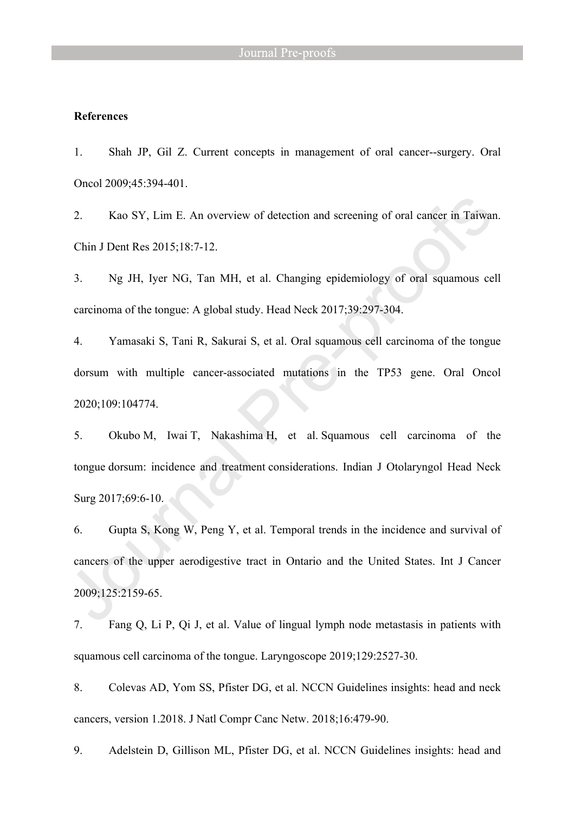# **References**

1. Shah JP, Gil Z. Current concepts in management of oral cancer--surgery. Oral Oncol 2009;45:394-401.

2. Kao SY, Lim E. An overview of detection and screening of oral cancer in Taiwan. Chin J Dent Res 2015;18:7-12.

3. Ng JH, Iyer NG, Tan MH, et al. Changing epidemiology of oral squamous cell carcinoma of the tongue: A global study. Head Neck 2017;39:297-304.

4. Yamasaki S, Tani R, Sakurai S, et al. Oral squamous cell carcinoma of the tongue dorsum with multiple cancer-associated mutations in the TP53 gene. Oral Oncol 2020;109:104774.

5. Okubo M, Iwai T, Nakashima H, et al. Squamous cell carcinoma of the tongue dorsum: incidence and treatment considerations. Indian J Otolaryngol Head Neck Surg 2017;69:6-10.

6. Gupta S, Kong W, Peng Y, et al. Temporal trends in the incidence and survival of cancers of the upper aerodigestive tract in Ontario and the United States. Int J Cancer 2009;125:2159-65.

7. Fang Q, Li P, Qi J, et al. Value of lingual lymph node metastasis in patients with squamous cell carcinoma of the tongue. Laryngoscope 2019;129:2527-30.

8. Colevas AD, Yom SS, Pfister DG, et al. NCCN Guidelines insights: head and neck cancers, version 1.2018. J Natl Compr Canc Netw. 2018;16:479-90.

9. Adelstein D, Gillison ML, Pfister DG, et al. NCCN Guidelines insights: head and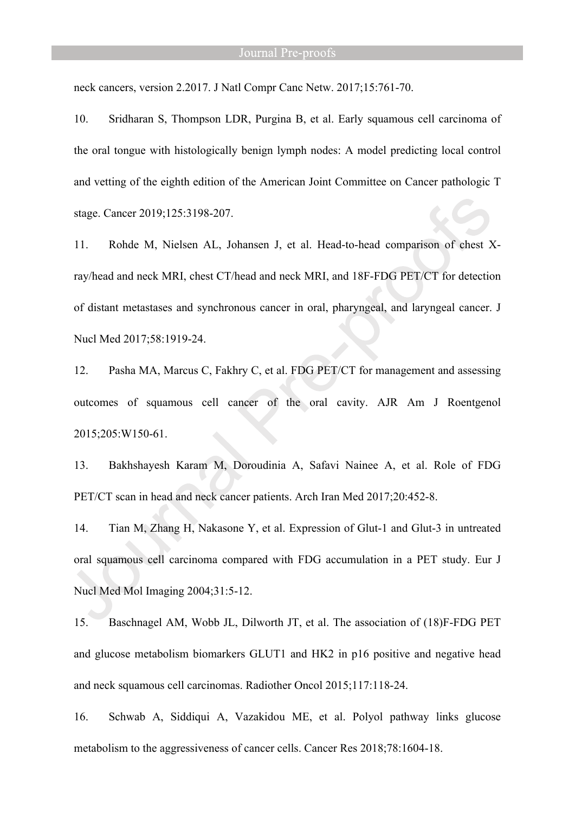neck cancers, version 2.2017. J Natl Compr Canc Netw. 2017;15:761-70.

10. Sridharan S, Thompson LDR, Purgina B, et al. Early squamous cell carcinoma of the oral tongue with histologically benign lymph nodes: A model predicting local control and vetting of the eighth edition of the American Joint Committee on Cancer pathologic T stage. Cancer 2019;125:3198-207.

11. Rohde M, Nielsen AL, Johansen J, et al. Head-to-head comparison of chest Xray/head and neck MRI, chest CT/head and neck MRI, and 18F-FDG PET/CT for detection of distant metastases and synchronous cancer in oral, pharyngeal, and laryngeal cancer. J Nucl Med 2017;58:1919-24.

12. Pasha MA, Marcus C, Fakhry C, et al. FDG PET/CT for management and assessing outcomes of squamous cell cancer of the oral cavity. AJR Am J Roentgenol 2015;205:W150-61.

13. Bakhshayesh Karam M, Doroudinia A, Safavi Nainee A, et al. Role of FDG PET/CT scan in head and neck cancer patients. Arch Iran Med 2017;20:452-8.

14. Tian M, Zhang H, Nakasone Y, et al. Expression of Glut-1 and Glut-3 in untreated oral squamous cell carcinoma compared with FDG accumulation in a PET study. Eur J Nucl Med Mol Imaging 2004;31:5-12.

15. Baschnagel AM, Wobb JL, Dilworth JT, et al. The association of (18)F-FDG PET and glucose metabolism biomarkers GLUT1 and HK2 in p16 positive and negative head and neck squamous cell carcinomas. Radiother Oncol 2015;117:118-24.

16. Schwab A, Siddiqui A, Vazakidou ME, et al. Polyol pathway links glucose metabolism to the aggressiveness of cancer cells. Cancer Res 2018;78:1604-18.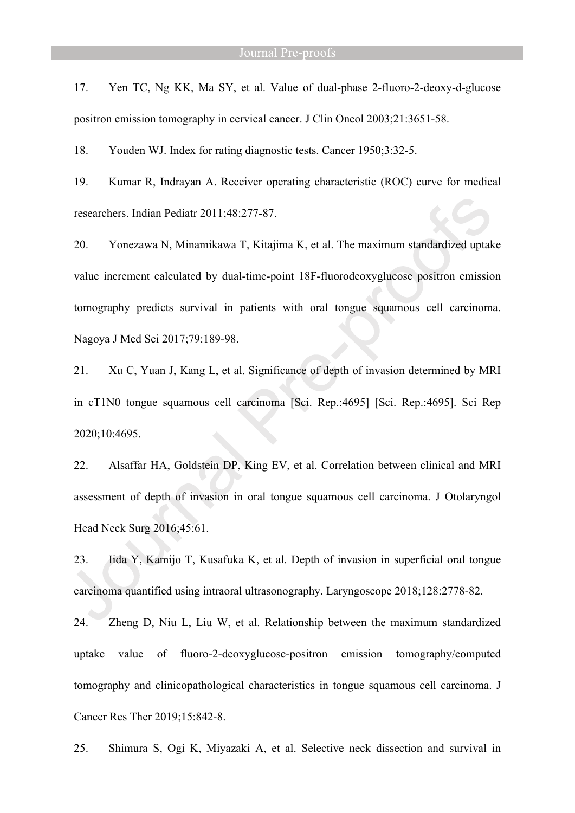17. Yen TC, Ng KK, Ma SY, et al. Value of dual-phase 2-fluoro-2-deoxy-d-glucose positron emission tomography in cervical cancer. J Clin Oncol 2003;21:3651-58.

18. Youden WJ. Index for rating diagnostic tests. Cancer 1950;3:32-5.

19. Kumar R, Indrayan A. Receiver operating characteristic (ROC) curve for medical researchers. Indian Pediatr 2011;48:277-87.

20. Yonezawa N, Minamikawa T, Kitajima K, et al. The maximum standardized uptake value increment calculated by dual-time-point 18F-fluorodeoxyglucose positron emission tomography predicts survival in patients with oral tongue squamous cell carcinoma. Nagoya J Med Sci 2017;79:189-98.

21. Xu C, Yuan J, Kang L, et al. Significance of depth of invasion determined by MRI in cT1N0 tongue squamous cell carcinoma [Sci. Rep.:4695] [Sci. Rep.:4695]. Sci Rep 2020;10:4695.

22. Alsaffar HA, Goldstein DP, King EV, et al. Correlation between clinical and MRI assessment of depth of invasion in oral tongue squamous cell carcinoma. J Otolaryngol Head Neck Surg 2016;45:61.

23. Iida Y, Kamijo T, Kusafuka K, et al. Depth of invasion in superficial oral tongue carcinoma quantified using intraoral ultrasonography. Laryngoscope 2018;128:2778-82.

24. Zheng D, Niu L, Liu W, et al. Relationship between the maximum standardized uptake value of fluoro-2-deoxyglucose-positron emission tomography/computed tomography and clinicopathological characteristics in tongue squamous cell carcinoma. J Cancer Res Ther 2019;15:842-8.

25. Shimura S, Ogi K, Miyazaki A, et al. Selective neck dissection and survival in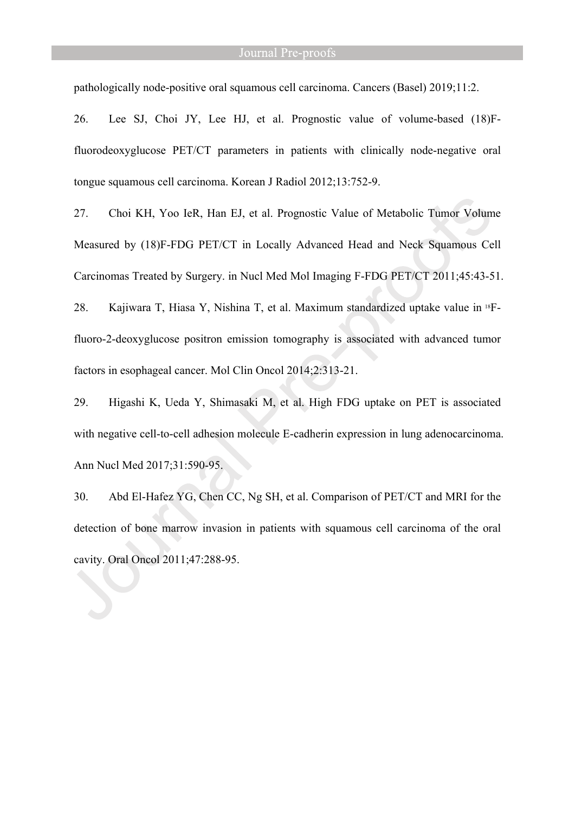pathologically node-positive oral squamous cell carcinoma. Cancers (Basel) 2019;11:2.

26. Lee SJ, Choi JY, Lee HJ, et al. Prognostic value of volume-based (18)Ffluorodeoxyglucose PET/CT parameters in patients with clinically node-negative oral tongue squamous cell carcinoma. Korean J Radiol 2012;13:752-9.

27. Choi KH, Yoo IeR, Han EJ, et al. Prognostic Value of Metabolic Tumor Volume Measured by (18)F-FDG PET/CT in Locally Advanced Head and Neck Squamous Cell Carcinomas Treated by Surgery. in Nucl Med Mol Imaging F-FDG PET/CT 2011;45:43-51.

28. Kajiwara T, Hiasa Y, Nishina T, et al. Maximum standardized uptake value in 18Ffluoro-2-deoxyglucose positron emission tomography is associated with advanced tumor factors in esophageal cancer. Mol Clin Oncol 2014;2:313-21.

29. Higashi K, Ueda Y, Shimasaki M, et al. High FDG uptake on PET is associated with negative cell-to-cell adhesion molecule E-cadherin expression in lung adenocarcinoma. Ann Nucl Med 2017;31:590-95.

30. Abd El-Hafez YG, Chen CC, Ng SH, et al. Comparison of PET/CT and MRI for the detection of bone marrow invasion in patients with squamous cell carcinoma of the oral cavity. Oral Oncol 2011;47:288-95.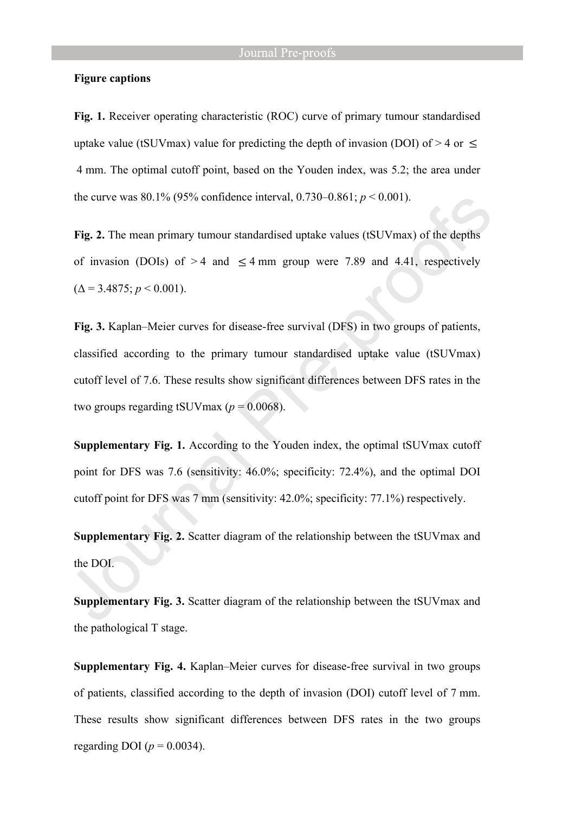#### **Figure captions**

**Fig. 1.** Receiver operating characteristic (ROC) curve of primary tumour standardised uptake value (tSUVmax) value for predicting the depth of invasion (DOI) of  $> 4$  or  $\le$  4 mm. The optimal cutoff point, based on the Youden index, was 5.2; the area under the curve was  $80.1\%$  (95% confidence interval, 0.730–0.861;  $p < 0.001$ ).

**Fig. 2.** The mean primary tumour standardised uptake values (tSUVmax) of the depths of invasion (DOIs) of > 4 and  $\leq$  4 mm group were 7.89 and 4.41, respectively  $(\Delta = 3.4875; p < 0.001)$ .

**Fig. 3.** Kaplan–Meier curves for disease-free survival (DFS) in two groups of patients, classified according to the primary tumour standardised uptake value (tSUVmax) cutoff level of 7.6. These results show significant differences between DFS rates in the two groups regarding tSUVmax ( $p = 0.0068$ ).

**Supplementary Fig. 1.** According to the Youden index, the optimal tSUVmax cutoff point for DFS was 7.6 (sensitivity: 46.0%; specificity: 72.4%), and the optimal DOI cutoff point for DFS was 7 mm (sensitivity: 42.0%; specificity: 77.1%) respectively.

**Supplementary Fig. 2.** Scatter diagram of the relationship between the tSUVmax and the DOI.

**Supplementary Fig. 3.** Scatter diagram of the relationship between the tSUVmax and the pathological T stage.

**Supplementary Fig. 4.** Kaplan–Meier curves for disease-free survival in two groups of patients, classified according to the depth of invasion (DOI) cutoff level of 7 mm. These results show significant differences between DFS rates in the two groups regarding DOI ( $p = 0.0034$ ).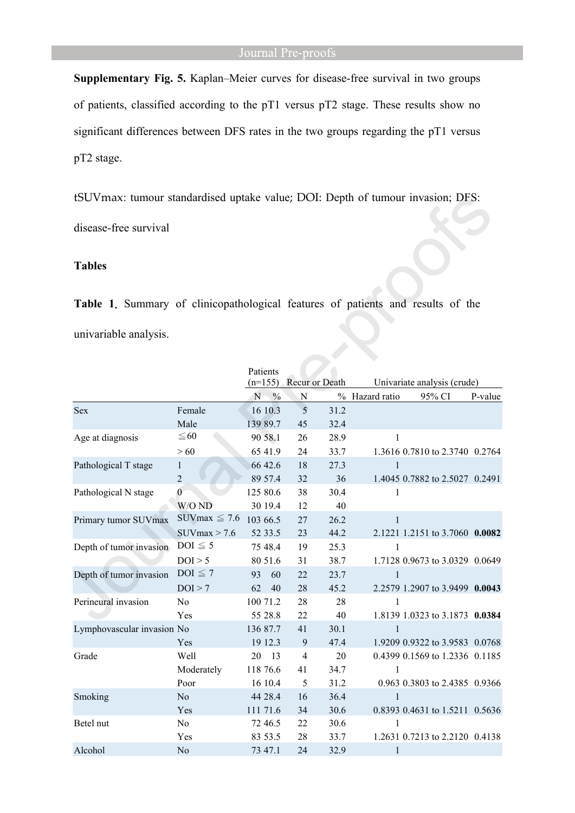**Supplementary Fig. 5.** Kaplan–Meier curves for disease-free survival in two groups of patients, classified according to the pT1 versus pT2 stage. These results show no significant differences between DFS rates in the two groups regarding the pT1 versus pT2 stage.

tSUVmax: tumour standardised uptake value; DOI: Depth of tumour invasion; DFS:

disease-free survival

# **Tables**

**Table 1.** Summary of clinicopathological features of patients and results of the univariable analysis.

|                            |                    | Patients                    |               |                             |      |                |                                |         |
|----------------------------|--------------------|-----------------------------|---------------|-----------------------------|------|----------------|--------------------------------|---------|
|                            |                    | Recur or Death<br>$(n=155)$ |               | Univariate analysis (crude) |      |                |                                |         |
|                            |                    | N                           | $\frac{0}{0}$ | N                           |      | % Hazard ratio | 95% CI                         | P-value |
| <b>Sex</b>                 | Female             |                             | 16 10.3       | 5                           | 31.2 |                |                                |         |
|                            | Male               |                             | 139 89.7      | 45                          | 32.4 |                |                                |         |
| Age at diagnosis           | $\leq 60$          |                             | 90 58.1       | 26                          | 28.9 | $\mathbf{1}$   |                                |         |
|                            | >60                |                             | 65 41.9       | 24                          | 33.7 |                | 1.3616 0.7810 to 2.3740 0.2764 |         |
| Pathological T stage       | 1                  |                             | 66 42.6       | 18                          | 27.3 | $\mathbf{1}$   |                                |         |
|                            | $\overline{2}$     |                             | 89 57.4       | 32                          | 36   |                | 1.4045 0.7882 to 2.5027 0.2491 |         |
| Pathological N stage       | $\boldsymbol{0}$   |                             | 125 80.6      | 38                          | 30.4 | 1              |                                |         |
|                            | W/O ND             |                             | 30 19.4       | 12                          | 40   |                |                                |         |
| Primary tumor SUVmax       | SUV $max \leq 7.6$ | 103 66.5                    |               | 27                          | 26.2 | 1              |                                |         |
|                            | $SUV$ max > 7.6    |                             | 52 33.5       | 23                          | 44.2 |                | 2.1221 1.2151 to 3.7060 0.0082 |         |
| Depth of tumor invasion    | $DOI \leq 5$       |                             | 75 48.4       | 19                          | 25.3 | $\mathbf{1}$   |                                |         |
|                            | DOI > 5            |                             | 80 51.6       | 31                          | 38.7 |                | 1.7128 0.9673 to 3.0329 0.0649 |         |
| Depth of tumor invasion    | $DOI \leq 7$       | 93                          | 60            | 22                          | 23.7 | $\mathbf{1}$   |                                |         |
|                            | DOI > 7            | 62                          | 40            | 28                          | 45.2 |                | 2.2579 1.2907 to 3.9499 0.0043 |         |
| Perineural invasion        | N <sub>o</sub>     |                             | 100 71.2      | 28                          | 28   | 1              |                                |         |
|                            | Yes                |                             | 55 28.8       | 22                          | 40   |                | 1.8139 1.0323 to 3.1873 0.0384 |         |
| Lymphovascular invasion No |                    |                             | 136 87.7      | 41                          | 30.1 | $\mathbf{1}$   |                                |         |
|                            | <b>Yes</b>         |                             | 19 12.3       | 9                           | 47.4 |                | 1.9209 0.9322 to 3.9583 0.0768 |         |
| Grade                      | Well               | 20                          | -13           | $\overline{4}$              | 20   |                | 0.4399 0.1569 to 1.2336 0.1185 |         |
|                            | Moderately         |                             | 118 76.6      | 41                          | 34.7 | $\mathbf{1}$   |                                |         |
|                            | Poor               |                             | 16 10.4       | 5                           | 31.2 |                | 0.963 0.3803 to 2.4385 0.9366  |         |
| Smoking                    | N <sub>o</sub>     |                             | 44 28.4       | 16                          | 36.4 | 1              |                                |         |
|                            | Yes                |                             | 111 71.6      | 34                          | 30.6 |                | 0.8393 0.4631 to 1.5211 0.5636 |         |
| Betel nut                  | No                 |                             | 72 46.5       | 22                          | 30.6 | 1              |                                |         |
|                            | Yes                |                             | 83 53.5       | 28                          | 33.7 |                | 1.2631 0.7213 to 2.2120 0.4138 |         |
| Alcohol                    | N <sub>o</sub>     |                             | 73 47.1       | 24                          | 32.9 | 1              |                                |         |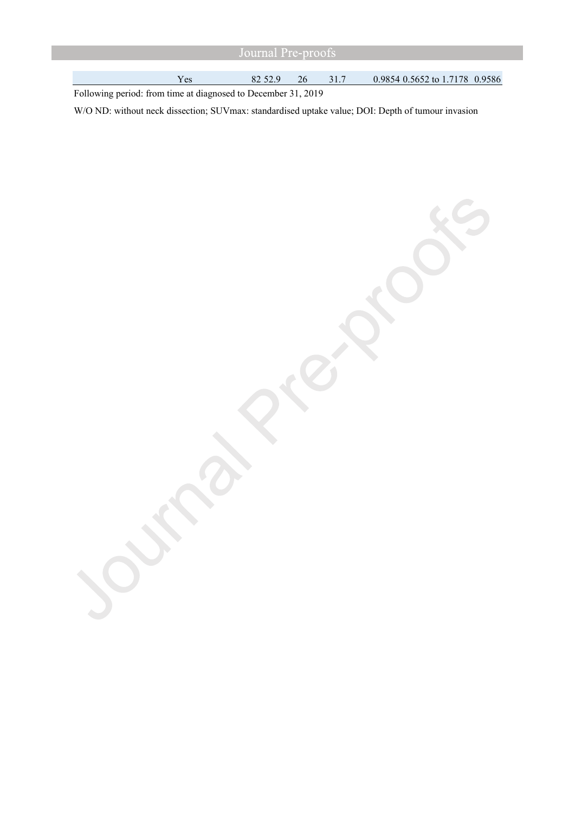| Uournal P <del>re-proots</del> |     |         |    |  |                                |  |
|--------------------------------|-----|---------|----|--|--------------------------------|--|
|                                |     |         |    |  |                                |  |
|                                | Yes | 82 52.9 | 26 |  | 0.9854 0.5652 to 1.7178 0.9586 |  |

Following period: from time at diagnosed to December 31, 2019

W/O ND: without neck dissection; SUVmax: standardised uptake value; DOI: Depth of tumour invasion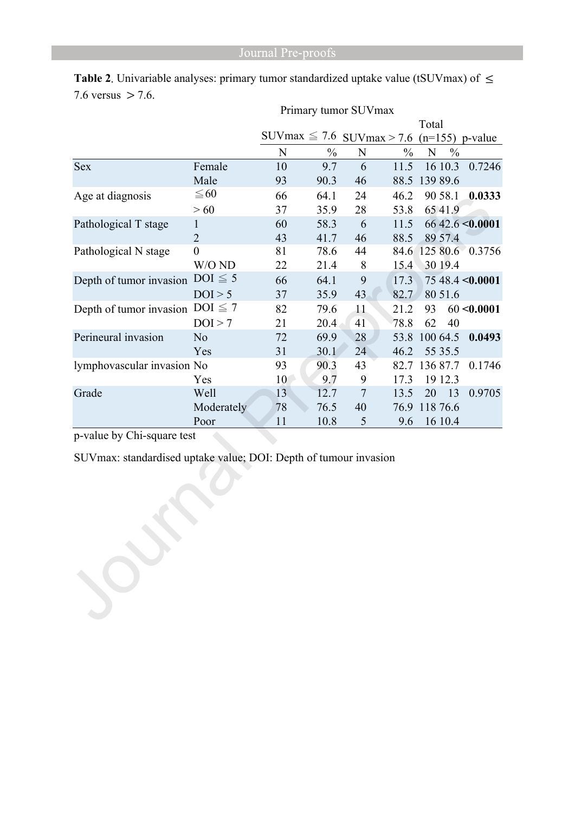|                            |                | Primary tumor SUVmax           |               |       |               |                    |                 |
|----------------------------|----------------|--------------------------------|---------------|-------|---------------|--------------------|-----------------|
|                            |                |                                |               | Total |               |                    |                 |
|                            |                | SUVmax $\leq$ 7.6 SUVmax > 7.6 |               |       |               | $(n=155)$ p-value  |                 |
|                            |                | N                              | $\frac{0}{0}$ | N     | $\frac{0}{0}$ | N<br>$\frac{0}{0}$ |                 |
| <b>Sex</b>                 | Female         | 10                             | 9.7           | 6     | 11.5          | 16 10.3            | 0.7246          |
|                            | Male           | 93                             | 90.3          | 46    | 88.5          | 139 89.6           |                 |
| Age at diagnosis           | $\leq 60$      | 66                             | 64.1          | 24    | 46.2          | 90 58.1            | 0.0333          |
|                            | >60            | 37                             | 35.9          | 28    | 53.8          | 6541.9             |                 |
| Pathological T stage       | 1              | 60                             | 58.3          | 6     | 11.5          |                    | 6642.6 < 0.0001 |
|                            | $\overline{2}$ | 43                             | 41.7          | 46    | 88.5          | 89 57.4            |                 |
| Pathological N stage       | $\overline{0}$ | 81                             | 78.6          | 44    | 84.6          |                    | 125 80.6 0.3756 |
|                            | W/O ND         | 22                             | 21.4          | 8     | 15.4          | 30 19.4            |                 |
| Depth of tumor invasion    | $DOI \leq 5$   | 66                             | 64.1          | 9     | 17.3          |                    | 7548.4 < 0.0001 |
|                            | DOI > 5        | 37                             | 35.9          | 43    | 82.7          | 80 51.6            |                 |
| Depth of tumor invasion    | $DOI \leq 7$   | 82                             | 79.6          | 11    | 21.2          | 93                 | 60 < 0.0001     |
|                            | DOI > 7        | 21                             | 20.4          | 41    | 78.8          | 62<br>40           |                 |
| Perineural invasion        | N <sub>o</sub> | 72                             | 69.9          | 28    | 53.8          | 100 64.5           | 0.0493          |
|                            | Yes            | 31                             | 30.1          | 24    | 46.2          | 55 35.5            |                 |
| lymphovascular invasion No |                | 93                             | 90.3          | 43    | 82.7          | 136 87.7           | 0.1746          |
|                            | Yes            | 10                             | 9.7           | 9     | 17.3          | 19 12.3            |                 |
| Grade                      | Well           | 13                             | 12.7          | 7     | 13.5          | 20<br>13           | 0.9705          |
|                            | Moderately     | 78                             | 76.5          | 40    | 76.9          | 118 76.6           |                 |
|                            | Poor           | 11                             | 10.8          | 5     | 9.6           | 16 10.4            |                 |

**Table 2**. Univariable analyses: primary tumor standardized uptake value (tSUVmax) of ≤ 7.6 versus  $>$  7.6.

p-value by Chi-square test

SUVmax: standardised uptake value; DOI: Depth of tumour invasion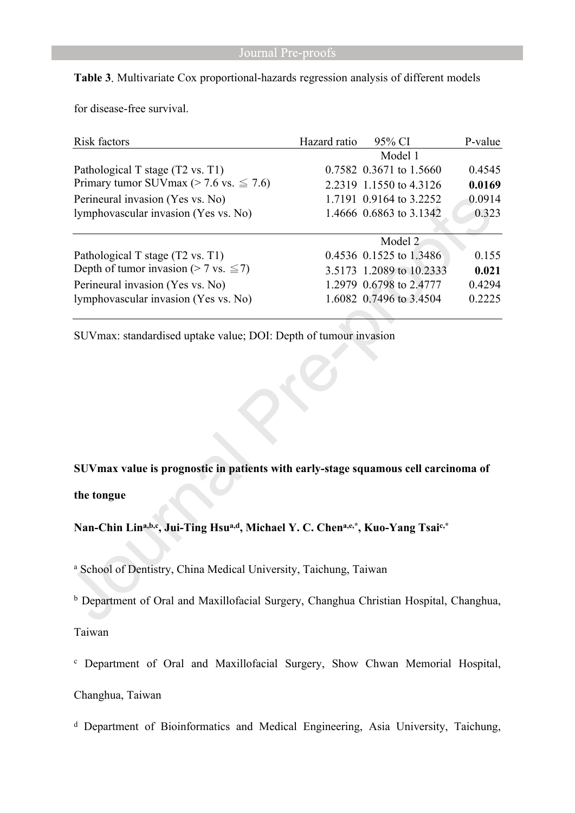# **Table 3**. Multivariate Cox proportional-hazards regression analysis of different models

for disease-free survival.

| Risk factors                                     | Hazard ratio | 95% CI                   | P-value |
|--------------------------------------------------|--------------|--------------------------|---------|
|                                                  |              | Model 1                  |         |
| Pathological T stage (T2 vs. T1)                 |              | 0.7582 0.3671 to 1.5660  | 0.4545  |
| Primary tumor SUV max ( $> 7.6$ vs. $\leq 7.6$ ) |              | 2.2319 1.1550 to 4.3126  | 0.0169  |
| Perineural invasion (Yes vs. No)                 |              | 1.7191 0.9164 to 3.2252  | 0.0914  |
| lymphovascular invasion (Yes vs. No)             |              | 1.4666 0.6863 to 3.1342  | 0.323   |
|                                                  |              | Model 2                  |         |
| Pathological T stage (T2 vs. T1)                 |              | 0.4536 0.1525 to 1.3486  | 0.155   |
| Depth of tumor invasion (> 7 vs. $\leq$ 7)       |              | 3.5173 1.2089 to 10.2333 | 0.021   |
| Perineural invasion (Yes vs. No)                 |              | 1.2979 0.6798 to 2.4777  | 0.4294  |
| lymphovascular invasion (Yes vs. No)             |              | 1.6082 0.7496 to 3.4504  | 0.2225  |
|                                                  |              |                          |         |

SUVmax: standardised uptake value; DOI: Depth of tumour invasion

**SUVmax value is prognostic in patients with early-stage squamous cell carcinoma of the tongue**

**Nan-Chin Lina,b,c, Jui-Ting Hsua,d, Michael Y. C. Chena,e,\*, Kuo-Yang Tsaic,\***

a School of Dentistry, China Medical University, Taichung, Taiwan

**b** Department of Oral and Maxillofacial Surgery, Changhua Christian Hospital, Changhua,

Taiwan

c Department of Oral and Maxillofacial Surgery, Show Chwan Memorial Hospital,

Changhua, Taiwan

d Department of Bioinformatics and Medical Engineering, Asia University, Taichung,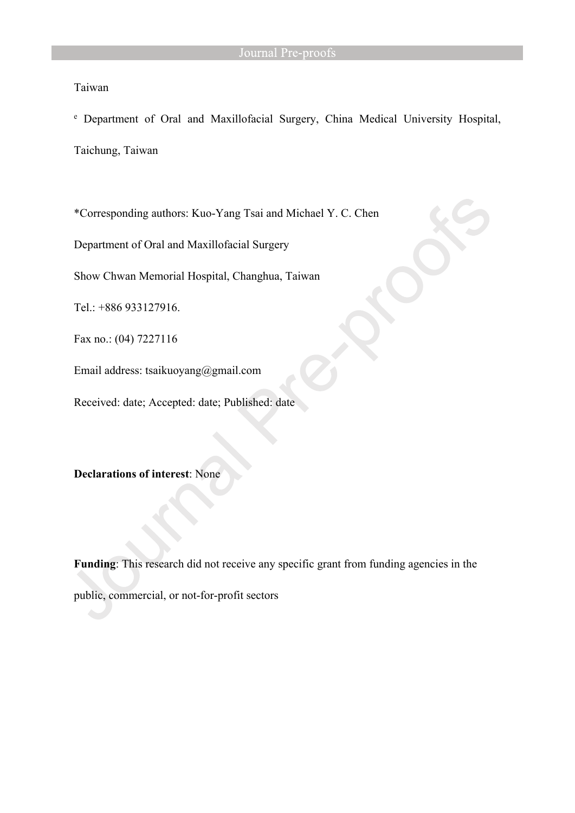# Taiwan

e Department of Oral and Maxillofacial Surgery, China Medical University Hospital,

Taichung, Taiwan

\*Corresponding authors: Kuo-Yang Tsai and Michael Y. C. Chen

Department of Oral and Maxillofacial Surgery

Show Chwan Memorial Hospital, Changhua, Taiwan

Tel.: +886 933127916.

Fax no.: (04) 7227116

Email address: [tsaikuoyang@gmail.com](about:blank)

Received: date; Accepted: date; Published: date

**Declarations of interest**: None

**Funding**: This research did not receive any specific grant from funding agencies in the public, commercial, or not-for-profit sectors